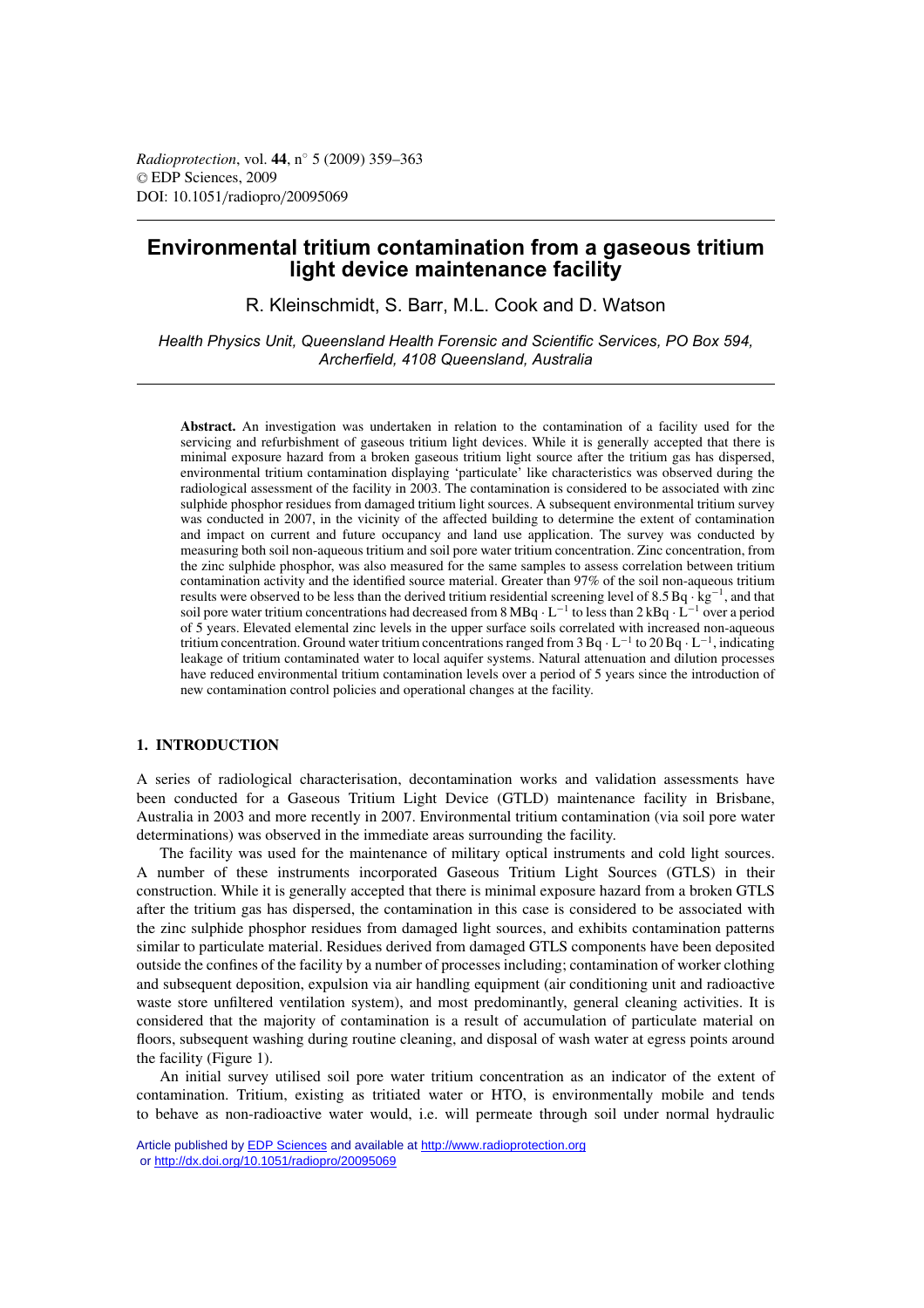# **Environmental tritium contamination from a gaseous tritium light device maintenance facility**

R. Kleinschmidt, S. Barr, M.L. Cook and D. Watson

*Health Physics Unit, Queensland Health Forensic and Scientific Services, PO Box 594, Archerfield, 4108 Queensland, Australia*

**Abstract.** An investigation was undertaken in relation to the contamination of a facility used for the servicing and refurbishment of gaseous tritium light devices. While it is generally accepted that there is minimal exposure hazard from a broken gaseous tritium light source after the tritium gas has dispersed, environmental tritium contamination displaying 'particulate' like characteristics was observed during the radiological assessment of the facility in 2003. The contamination is considered to be associated with zinc sulphide phosphor residues from damaged tritium light sources. A subsequent environmental tritium survey was conducted in 2007, in the vicinity of the affected building to determine the extent of contamination and impact on current and future occupancy and land use application. The survey was conducted by measuring both soil non-aqueous tritium and soil pore water tritium concentration. Zinc concentration, from the zinc sulphide phosphor, was also measured for the same samples to assess correlation between tritium contamination activity and the identified source material. Greater than 97% of the soil non-aqueous tritium results were observed to be less than the derived tritium residential screening level of  $8.5$  Bq ·  $kg^{-1}$ , and that soil pore water tritium concentrations had decreased from 8 MBq · L<sup>-1</sup> to less than 2 kBq · L<sup>-1</sup> over a period of 5 years. Elevated elemental zinc levels in the upper surface soils correlated with increased non-aqueous tritium concentration. Ground water tritium concentrations ranged from 3 Bq · L−<sup>1</sup> to 20 Bq · L−1, indicating leakage of tritium contaminated water to local aquifer systems. Natural attenuation and dilution processes have reduced environmental tritium contamination levels over a period of 5 years since the introduction of new contamination control policies and operational changes at the facility.

### **1. INTRODUCTION**

A series of radiological characterisation, decontamination works and validation assessments have been conducted for a Gaseous Tritium Light Device (GTLD) maintenance facility in Brisbane, Australia in 2003 and more recently in 2007. Environmental tritium contamination (via soil pore water determinations) was observed in the immediate areas surrounding the facility.

The facility was used for the maintenance of military optical instruments and cold light sources. A number of these instruments incorporated Gaseous Tritium Light Sources (GTLS) in their construction. While it is generally accepted that there is minimal exposure hazard from a broken GTLS after the tritium gas has dispersed, the contamination in this case is considered to be associated with the zinc sulphide phosphor residues from damaged light sources, and exhibits contamination patterns similar to particulate material. Residues derived from damaged GTLS components have been deposited outside the confines of the facility by a number of processes including; contamination of worker clothing and subsequent deposition, expulsion via air handling equipment (air conditioning unit and radioactive waste store unfiltered ventilation system), and most predominantly, general cleaning activities. It is considered that the majority of contamination is a result of accumulation of particulate material on floors, subsequent washing during routine cleaning, and disposal of wash water at egress points around the facility (Figure 1).

An initial survey utilised soil pore water tritium concentration as an indicator of the extent of contamination. Tritium, existing as tritiated water or HTO, is environmentally mobile and tends to behave as non-radioactive water would, i.e. will permeate through soil under normal hydraulic

Article published by [EDP Sciences](http://www.edpsciences.org) and available at<http://www.radioprotection.org> or <http://dx.doi.org/10.1051/radiopro/20095069>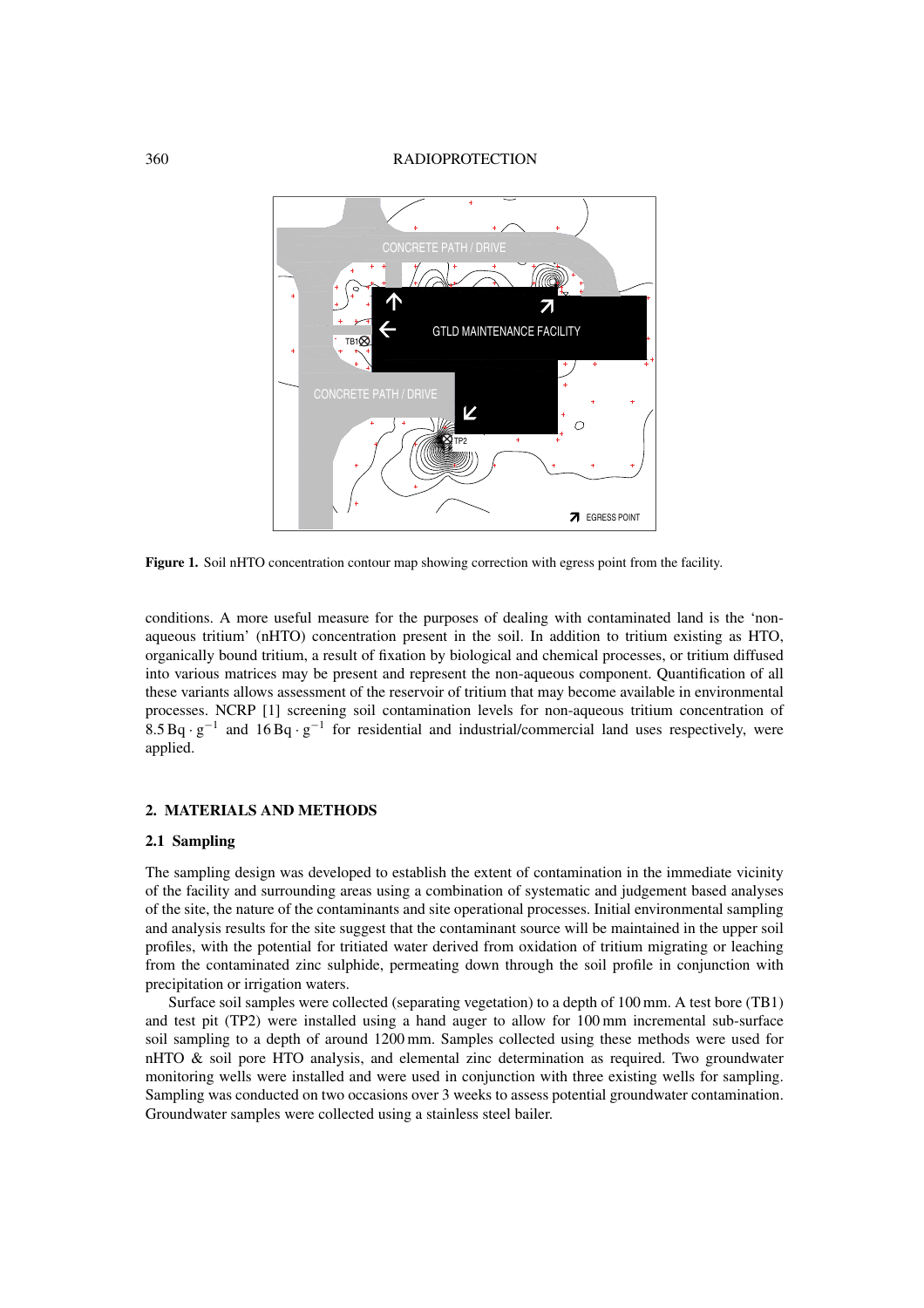#### 360 RADIOPROTECTION



**Figure 1.** Soil nHTO concentration contour map showing correction with egress point from the facility.

conditions. A more useful measure for the purposes of dealing with contaminated land is the 'nonaqueous tritium' (nHTO) concentration present in the soil. In addition to tritium existing as HTO, organically bound tritium, a result of fixation by biological and chemical processes, or tritium diffused into various matrices may be present and represent the non-aqueous component. Quantification of all these variants allows assessment of the reservoir of tritium that may become available in environmental processes. NCRP [1] screening soil contamination levels for non-aqueous tritium concentration of  $8.5 Bq \cdot g^{-1}$  and  $16 Bq \cdot g^{-1}$  for residential and industrial/commercial land uses respectively, were applied.

## **2. MATERIALS AND METHODS**

## **2.1 Sampling**

The sampling design was developed to establish the extent of contamination in the immediate vicinity of the facility and surrounding areas using a combination of systematic and judgement based analyses of the site, the nature of the contaminants and site operational processes. Initial environmental sampling and analysis results for the site suggest that the contaminant source will be maintained in the upper soil profiles, with the potential for tritiated water derived from oxidation of tritium migrating or leaching from the contaminated zinc sulphide, permeating down through the soil profile in conjunction with precipitation or irrigation waters.

Surface soil samples were collected (separating vegetation) to a depth of 100 mm. A test bore (TB1) and test pit (TP2) were installed using a hand auger to allow for 100 mm incremental sub-surface soil sampling to a depth of around 1200 mm. Samples collected using these methods were used for nHTO & soil pore HTO analysis, and elemental zinc determination as required. Two groundwater monitoring wells were installed and were used in conjunction with three existing wells for sampling. Sampling was conducted on two occasions over 3 weeks to assess potential groundwater contamination. Groundwater samples were collected using a stainless steel bailer.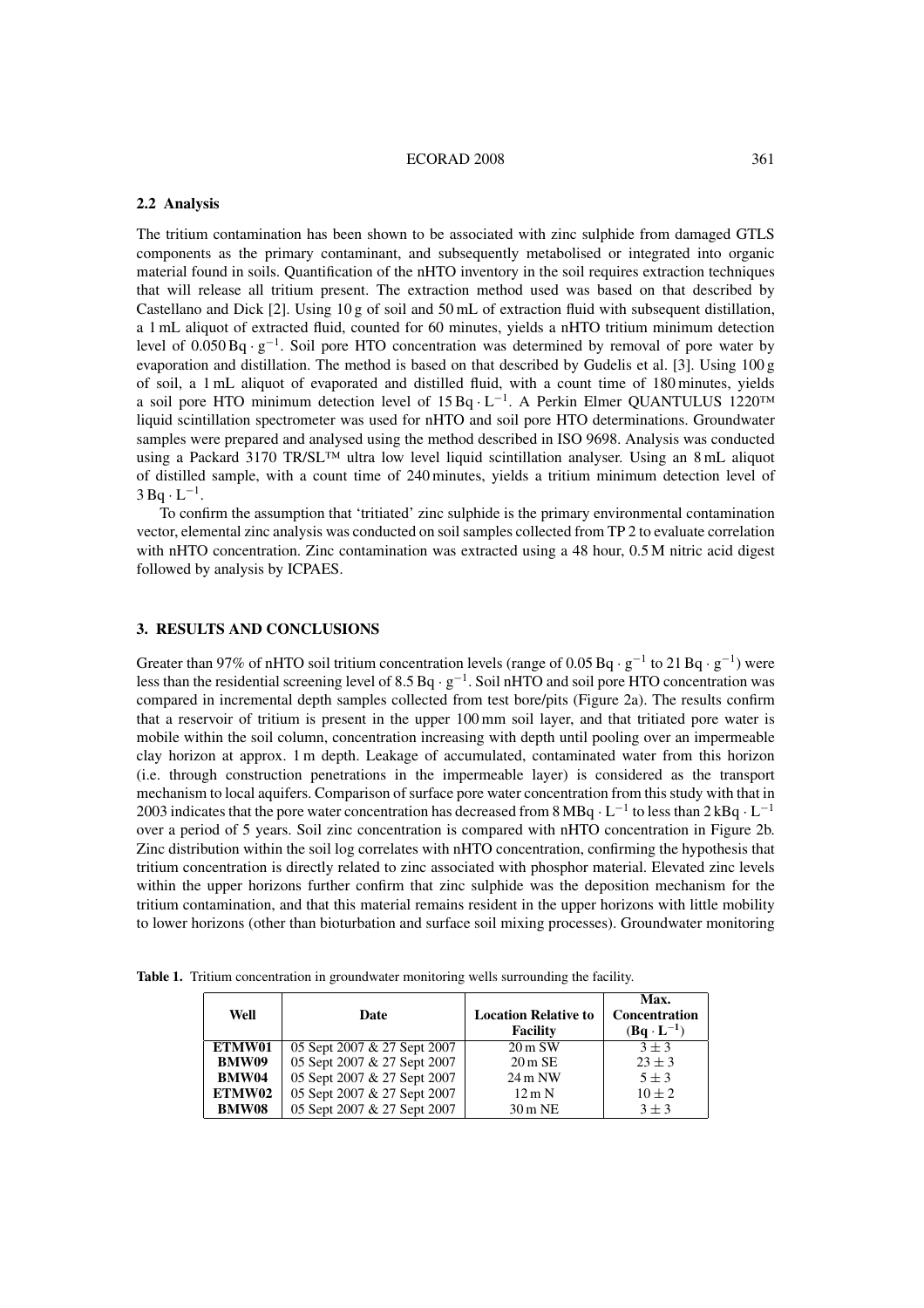### **2.2 Analysis**

The tritium contamination has been shown to be associated with zinc sulphide from damaged GTLS components as the primary contaminant, and subsequently metabolised or integrated into organic material found in soils. Quantification of the nHTO inventory in the soil requires extraction techniques that will release all tritium present. The extraction method used was based on that described by Castellano and Dick [2]. Using 10 g of soil and 50 mL of extraction fluid with subsequent distillation, a 1 mL aliquot of extracted fluid, counted for 60 minutes, yields a nHTO tritium minimum detection level of 0.050 Bq · <sup>g</sup>−1. Soil pore HTO concentration was determined by removal of pore water by evaporation and distillation. The method is based on that described by Gudelis et al. [3]. Using 100 g of soil, a 1 mL aliquot of evaporated and distilled fluid, with a count time of 180 minutes, yields a soil pore HTO minimum detection level of  $15 \text{ Bq} \cdot L^{-1}$ . A Perkin Elmer QUANTULUS 1220<sup>™</sup> liquid scintillation spectrometer was used for nHTO and soil pore HTO determinations. Groundwater samples were prepared and analysed using the method described in ISO 9698. Analysis was conducted using a Packard 3170 TR/SL™ ultra low level liquid scintillation analyser. Using an 8 mL aliquot of distilled sample, with a count time of 240 minutes, yields a tritium minimum detection level of  $3 Bq \cdot L^{-1}$ .

To confirm the assumption that 'tritiated' zinc sulphide is the primary environmental contamination vector, elemental zinc analysis was conducted on soil samples collected from TP 2 to evaluate correlation with nHTO concentration. Zinc contamination was extracted using a 48 hour, 0.5 M nitric acid digest followed by analysis by ICPAES.

## **3. RESULTS AND CONCLUSIONS**

Greater than 97% of nHTO soil tritium concentration levels (range of 0.05 Bq · g<sup>-1</sup> to 21 Bq · g<sup>-1</sup>) were less than the residential screening level of 8.5 Bq · <sup>g</sup>−1. Soil nHTO and soil pore HTO concentration was compared in incremental depth samples collected from test bore/pits (Figure 2a). The results confirm that a reservoir of tritium is present in the upper 100 mm soil layer, and that tritiated pore water is mobile within the soil column, concentration increasing with depth until pooling over an impermeable clay horizon at approx. 1 m depth. Leakage of accumulated, contaminated water from this horizon (i.e. through construction penetrations in the impermeable layer) is considered as the transport mechanism to local aquifers. Comparison of surface pore water concentration from this study with that in 2003 indicates that the pore water concentration has decreased from 8 MBq  $\cdot$  L<sup>−1</sup> to less than 2 kBq  $\cdot$  L<sup>−1</sup> over a period of 5 years. Soil zinc concentration is compared with nHTO concentration in Figure 2b. Zinc distribution within the soil log correlates with nHTO concentration, confirming the hypothesis that tritium concentration is directly related to zinc associated with phosphor material. Elevated zinc levels within the upper horizons further confirm that zinc sulphide was the deposition mechanism for the tritium contamination, and that this material remains resident in the upper horizons with little mobility to lower horizons (other than bioturbation and surface soil mixing processes). Groundwater monitoring

|  |  |  | Table 1. Tritium concentration in groundwater monitoring wells surrounding the facility. |  |
|--|--|--|------------------------------------------------------------------------------------------|--|
|  |  |  |                                                                                          |  |

| Well         | Date                        | <b>Location Relative to</b> | Max.<br>Concentration |
|--------------|-----------------------------|-----------------------------|-----------------------|
|              |                             | <b>Facility</b>             | $(Bq \cdot L^{-1})$   |
| ETMW01       | 05 Sept 2007 & 27 Sept 2007 | $20 \,\mathrm{m}$ SW        | $3 + 3$               |
| <b>BMW09</b> | 05 Sept 2007 & 27 Sept 2007 | $20 \text{ m}$ SE           | $23 \pm 3$            |
| <b>BMW04</b> | 05 Sept 2007 & 27 Sept 2007 | $24 \text{ m }$ NW          | $5 \pm 3$             |
| ETMW02       | 05 Sept 2007 & 27 Sept 2007 | $12 \text{ m N}$            | $10 \pm 2$            |
| <b>BMW08</b> | 05 Sept 2007 & 27 Sept 2007 | $30 \text{ m}$ NE           | $3 + 3$               |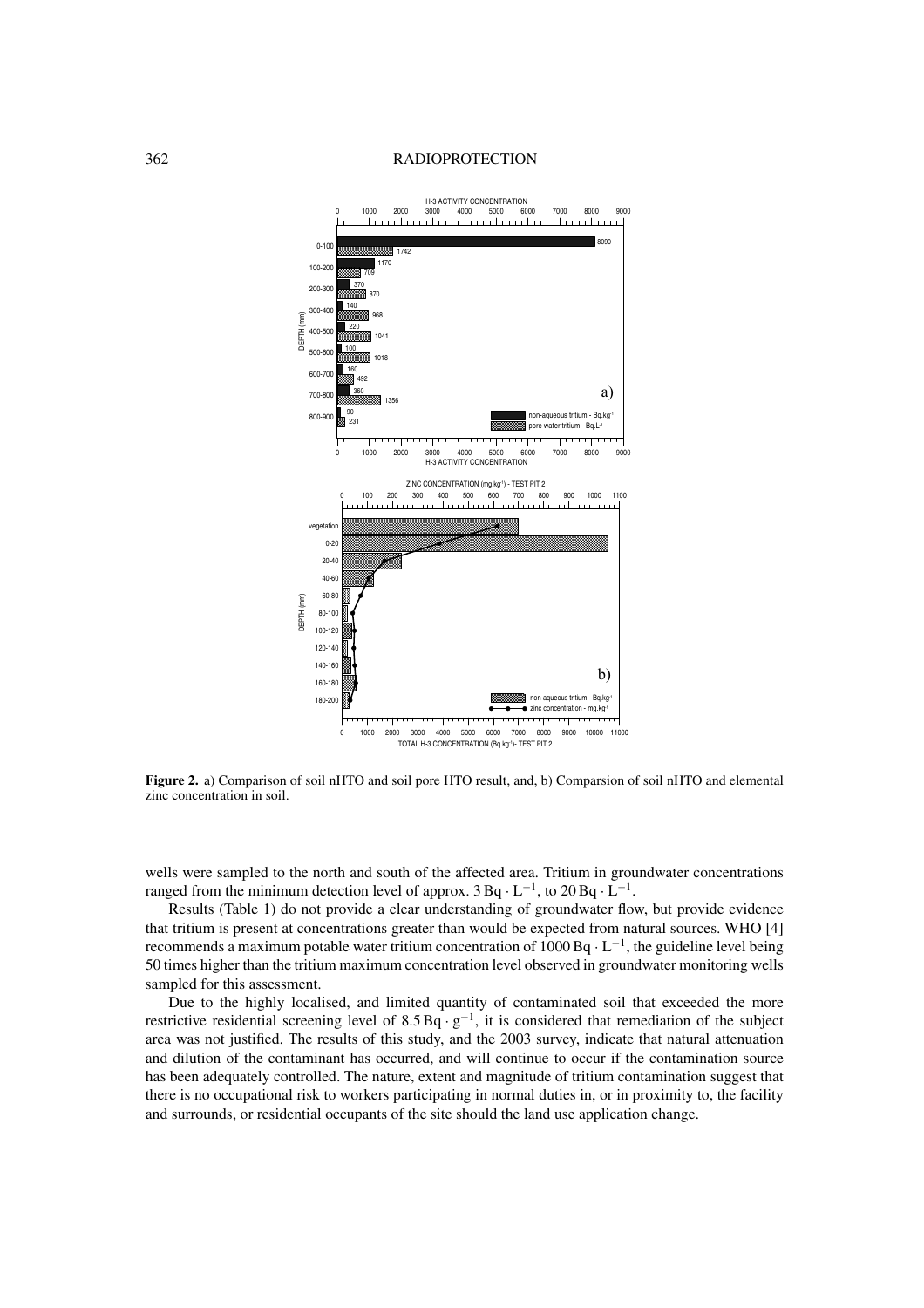#### 362 RADIOPROTECTION



**Figure 2.** a) Comparison of soil nHTO and soil pore HTO result, and, b) Comparsion of soil nHTO and elemental zinc concentration in soil.

wells were sampled to the north and south of the affected area. Tritium in groundwater concentrations ranged from the minimum detection level of approx.  $3 \text{Bq} \cdot \text{L}^{-1}$ , to  $20 \text{Bq} \cdot \text{L}^{-1}$ .

Results (Table 1) do not provide a clear understanding of groundwater flow, but provide evidence that tritium is present at concentrations greater than would be expected from natural sources. WHO [4] recommends a maximum potable water tritium concentration of 1000 Bq  $\cdot$  L<sup>-1</sup>, the guideline level being 50 times higher than the tritium maximum concentration level observed in groundwater monitoring wells sampled for this assessment.

Due to the highly localised, and limited quantity of contaminated soil that exceeded the more restrictive residential screening level of 8.5 Bq ·  $g^{-1}$ , it is considered that remediation of the subject area was not justified. The results of this study, and the 2003 survey, indicate that natural attenuation and dilution of the contaminant has occurred, and will continue to occur if the contamination source has been adequately controlled. The nature, extent and magnitude of tritium contamination suggest that there is no occupational risk to workers participating in normal duties in, or in proximity to, the facility and surrounds, or residential occupants of the site should the land use application change.